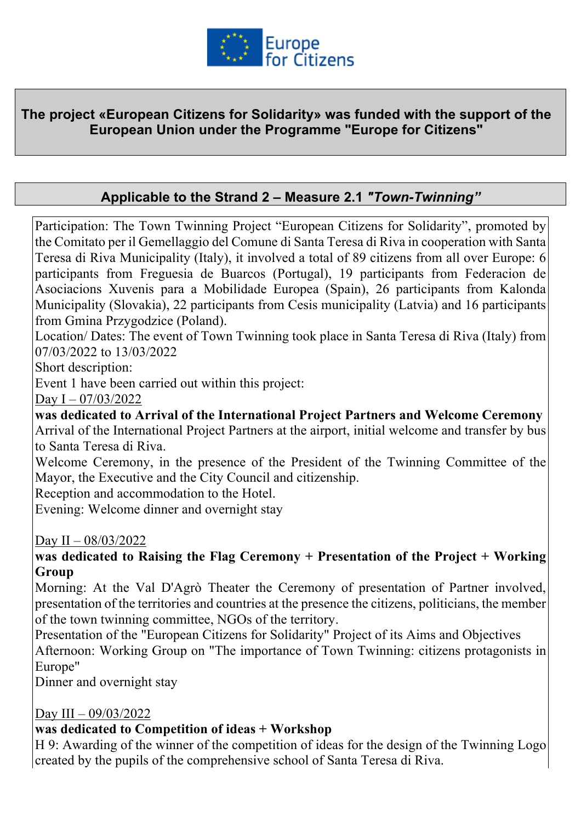

#### **The project «European Citizens for Solidarity» was funded with the support of the European Union under the Programme "Europe for Citizens"**

## **Applicable to the Strand 2 – Measure 2.1** *"Town-Twinning"*

Participation: The Town Twinning Project "European Citizens for Solidarity", promoted by the Comitato per il Gemellaggio del Comune di Santa Teresa di Riva in cooperation with Santa Teresa di Riva Municipality (Italy), it involved a total of 89 citizens from all over Europe: 6 participants from Freguesia de Buarcos (Portugal), 19 participants from Federacion de Asociacions Xuvenis para a Mobilidade Europea (Spain), 26 participants from Kalonda Municipality (Slovakia), 22 participants from Cesis municipality (Latvia) and 16 participants from Gmina Przygodzice (Poland).

Location/ Dates: The event of Town Twinning took place in Santa Teresa di Riva (Italy) from 07/03/2022 to 13/03/2022

Short description:

Event 1 have been carried out within this project:

Day I – 07/03/2022

**was dedicated to Arrival of the International Project Partners and Welcome Ceremony** Arrival of the International Project Partners at the airport, initial welcome and transfer by bus to Santa Teresa di Riva.

Welcome Ceremony, in the presence of the President of the Twinning Committee of the Mayor, the Executive and the City Council and citizenship.

Reception and accommodation to the Hotel.

Evening: Welcome dinner and overnight stay

Day II – 08/03/2022

**was dedicated to Raising the Flag Ceremony + Presentation of the Project + Working Group**

Morning: At the Val D'Agrò Theater the Ceremony of presentation of Partner involved, presentation of the territories and countries at the presence the citizens, politicians, the member of the town twinning committee, NGOs of the territory.

Presentation of the "European Citizens for Solidarity" Project of its Aims and Objectives Afternoon: Working Group on "The importance of Town Twinning: citizens protagonists in Europe"

Dinner and overnight stay

#### Day III – 09/03/2022

#### **was dedicated to Competition of ideas + Workshop**

H 9: Awarding of the winner of the competition of ideas for the design of the Twinning Logo created by the pupils of the comprehensive school of Santa Teresa di Riva.